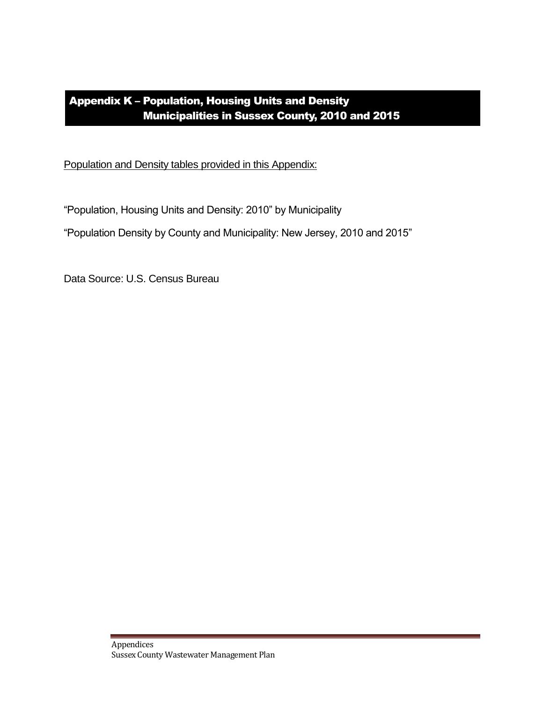## Appendix K – Population, Housing Units and Density Municipalities in Sussex County, 2010 and 2015

Population and Density tables provided in this Appendix:

"Population, Housing Units and Density: 2010" by Municipality

"Population Density by County and Municipality: New Jersey, 2010 and 2015"

Data Source: U.S. Census Bureau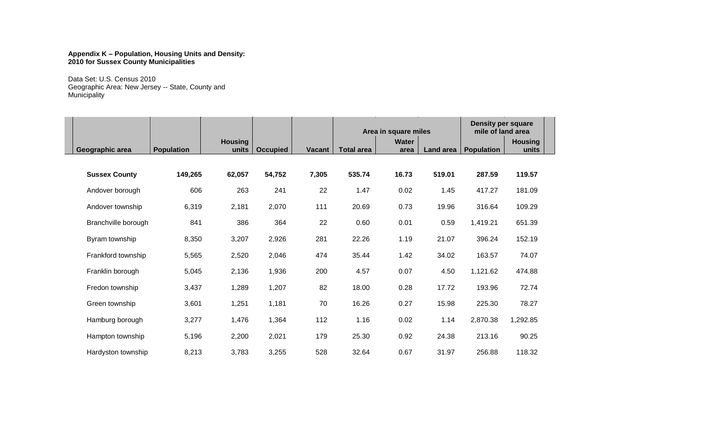## **Appendix K – Population, Housing Units and Density: 2010 for Sussex County Municipalities**

Data Set: U.S. Census 2010 Geographic Area: New Jersey -- State, County and **Municipality** 

|                      |                   |                         |                 |               | Area in square miles |               |           | <b>Density per square</b><br>mile of land area |                         |  |
|----------------------|-------------------|-------------------------|-----------------|---------------|----------------------|---------------|-----------|------------------------------------------------|-------------------------|--|
| Geographic area      | <b>Population</b> | <b>Housing</b><br>units | <b>Occupied</b> | <b>Vacant</b> | <b>Total area</b>    | Water<br>area | Land area | <b>Population</b>                              | <b>Housing</b><br>units |  |
|                      |                   |                         |                 |               |                      |               |           |                                                |                         |  |
| <b>Sussex County</b> | 149,265           | 62,057                  | 54,752          | 7,305         | 535.74               | 16.73         | 519.01    | 287.59                                         | 119.57                  |  |
| Andover borough      | 606               | 263                     | 241             | 22            | 1.47                 | 0.02          | 1.45      | 417.27                                         | 181.09                  |  |
| Andover township     | 6,319             | 2,181                   | 2,070           | 111           | 20.69                | 0.73          | 19.96     | 316.64                                         | 109.29                  |  |
| Branchville borough  | 841               | 386                     | 364             | 22            | 0.60                 | 0.01          | 0.59      | 1,419.21                                       | 651.39                  |  |
| Byram township       | 8,350             | 3,207                   | 2,926           | 281           | 22.26                | 1.19          | 21.07     | 396.24                                         | 152.19                  |  |
| Frankford township   | 5,565             | 2,520                   | 2,046           | 474           | 35.44                | 1.42          | 34.02     | 163.57                                         | 74.07                   |  |
| Franklin borough     | 5,045             | 2,136                   | 1,936           | 200           | 4.57                 | 0.07          | 4.50      | 1,121.62                                       | 474.88                  |  |
| Fredon township      | 3,437             | 1,289                   | 1,207           | 82            | 18.00                | 0.28          | 17.72     | 193.96                                         | 72.74                   |  |
| Green township       | 3,601             | 1,251                   | 1,181           | 70            | 16.26                | 0.27          | 15.98     | 225.30                                         | 78.27                   |  |
| Hamburg borough      | 3,277             | 1,476                   | 1,364           | 112           | 1.16                 | 0.02          | 1.14      | 2,870.38                                       | 1,292.85                |  |
| Hampton township     | 5,196             | 2,200                   | 2,021           | 179           | 25.30                | 0.92          | 24.38     | 213.16                                         | 90.25                   |  |
| Hardyston township   | 8,213             | 3,783                   | 3,255           | 528           | 32.64                | 0.67          | 31.97     | 256.88                                         | 118.32                  |  |